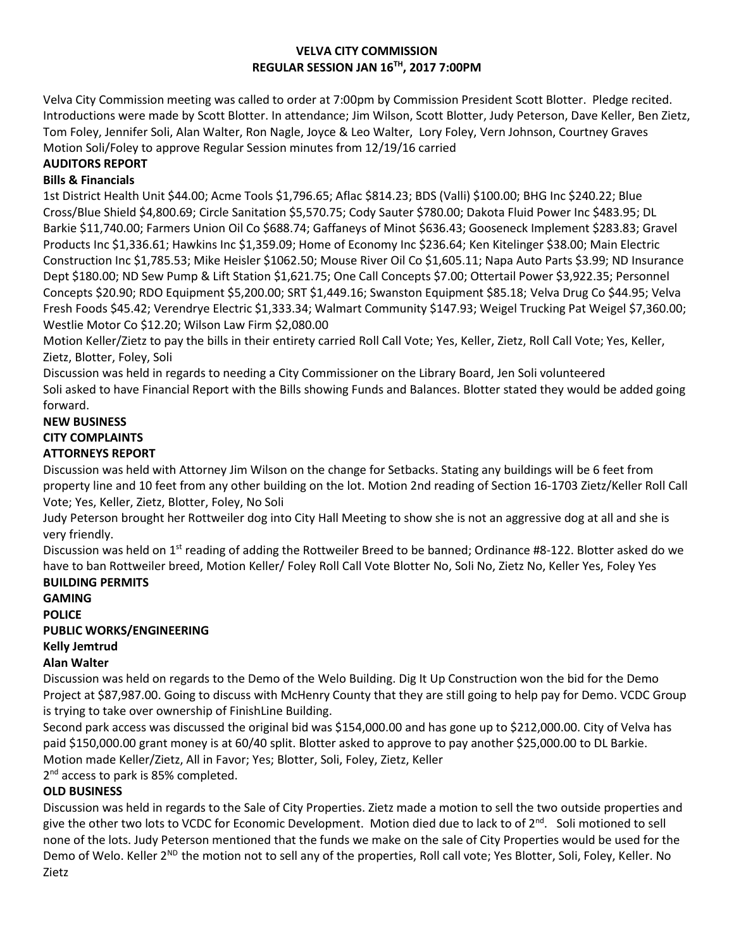### **VELVA CITY COMMISSION REGULAR SESSION JAN 16TH, 2017 7:00PM**

Velva City Commission meeting was called to order at 7:00pm by Commission President Scott Blotter. Pledge recited. Introductions were made by Scott Blotter. In attendance; Jim Wilson, Scott Blotter, Judy Peterson, Dave Keller, Ben Zietz, Tom Foley, Jennifer Soli, Alan Walter, Ron Nagle, Joyce & Leo Walter, Lory Foley, Vern Johnson, Courtney Graves Motion Soli/Foley to approve Regular Session minutes from 12/19/16 carried

# **AUDITORS REPORT**

## **Bills & Financials**

1st District Health Unit \$44.00; Acme Tools \$1,796.65; Aflac \$814.23; BDS (Valli) \$100.00; BHG Inc \$240.22; Blue Cross/Blue Shield \$4,800.69; Circle Sanitation \$5,570.75; Cody Sauter \$780.00; Dakota Fluid Power Inc \$483.95; DL Barkie \$11,740.00; Farmers Union Oil Co \$688.74; Gaffaneys of Minot \$636.43; Gooseneck Implement \$283.83; Gravel Products Inc \$1,336.61; Hawkins Inc \$1,359.09; Home of Economy Inc \$236.64; Ken Kitelinger \$38.00; Main Electric Construction Inc \$1,785.53; Mike Heisler \$1062.50; Mouse River Oil Co \$1,605.11; Napa Auto Parts \$3.99; ND Insurance Dept \$180.00; ND Sew Pump & Lift Station \$1,621.75; One Call Concepts \$7.00; Ottertail Power \$3,922.35; Personnel Concepts \$20.90; RDO Equipment \$5,200.00; SRT \$1,449.16; Swanston Equipment \$85.18; Velva Drug Co \$44.95; Velva Fresh Foods \$45.42; Verendrye Electric \$1,333.34; Walmart Community \$147.93; Weigel Trucking Pat Weigel \$7,360.00; Westlie Motor Co \$12.20; Wilson Law Firm \$2,080.00

Motion Keller/Zietz to pay the bills in their entirety carried Roll Call Vote; Yes, Keller, Zietz, Roll Call Vote; Yes, Keller, Zietz, Blotter, Foley, Soli

Discussion was held in regards to needing a City Commissioner on the Library Board, Jen Soli volunteered Soli asked to have Financial Report with the Bills showing Funds and Balances. Blotter stated they would be added going forward.

#### **NEW BUSINESS CITY COMPLAINTS ATTORNEYS REPORT**

Discussion was held with Attorney Jim Wilson on the change for Setbacks. Stating any buildings will be 6 feet from property line and 10 feet from any other building on the lot. Motion 2nd reading of Section 16-1703 Zietz/Keller Roll Call Vote; Yes, Keller, Zietz, Blotter, Foley, No Soli

Judy Peterson brought her Rottweiler dog into City Hall Meeting to show she is not an aggressive dog at all and she is very friendly.

Discussion was held on 1<sup>st</sup> reading of adding the Rottweiler Breed to be banned; Ordinance #8-122. Blotter asked do we have to ban Rottweiler breed, Motion Keller/ Foley Roll Call Vote Blotter No, Soli No, Zietz No, Keller Yes, Foley Yes **BUILDING PERMITS**

# **GAMING POLICE PUBLIC WORKS/ENGINEERING Kelly Jemtrud Alan Walter**

Discussion was held on regards to the Demo of the Welo Building. Dig It Up Construction won the bid for the Demo Project at \$87,987.00. Going to discuss with McHenry County that they are still going to help pay for Demo. VCDC Group is trying to take over ownership of FinishLine Building.

Second park access was discussed the original bid was \$154,000.00 and has gone up to \$212,000.00. City of Velva has paid \$150,000.00 grant money is at 60/40 split. Blotter asked to approve to pay another \$25,000.00 to DL Barkie. Motion made Keller/Zietz, All in Favor; Yes; Blotter, Soli, Foley, Zietz, Keller

2<sup>nd</sup> access to park is 85% completed.

# **OLD BUSINESS**

Discussion was held in regards to the Sale of City Properties. Zietz made a motion to sell the two outside properties and give the other two lots to VCDC for Economic Development. Motion died due to lack to of 2<sup>nd</sup>. Soli motioned to sell none of the lots. Judy Peterson mentioned that the funds we make on the sale of City Properties would be used for the Demo of Welo. Keller 2<sup>ND</sup> the motion not to sell any of the properties, Roll call vote; Yes Blotter, Soli, Foley, Keller. No Zietz